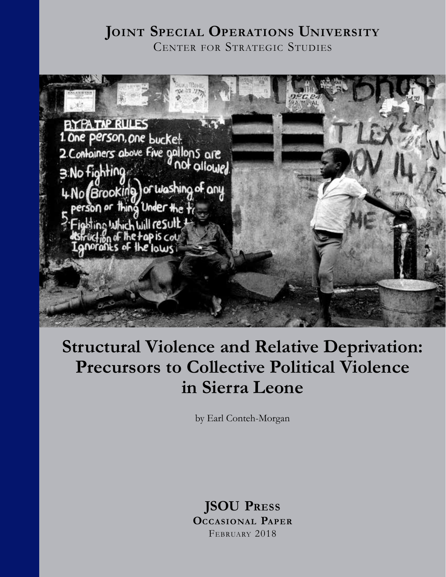### **Joint Special Operations University** Center for Strategic Studies



# **Structural Violence and Relative Deprivation: Precursors to Collective Political Violence in Sierra Leone**

by Earl Conteh-Morgan

#### **JSOU Press Occasional Paper** February 2018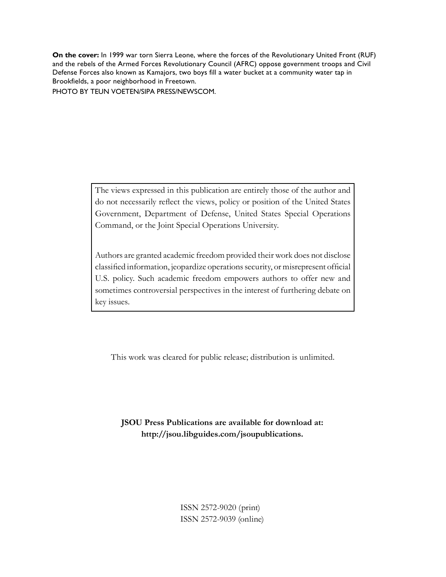**On the cover:** In 1999 war torn Sierra Leone, where the forces of the Revolutionary United Front (RUF) and the rebels of the Armed Forces Revolutionary Council (AFRC) oppose government troops and Civil Defense Forces also known as Kamajors, two boys fill a water bucket at a community water tap in Brookfields, a poor neighborhood in Freetown.

PHOTO BY TEUN VOETEN/SIPA PRESS/NEWSCOM.

The views expressed in this publication are entirely those of the author and do not necessarily reflect the views, policy or position of the United States Government, Department of Defense, United States Special Operations Command, or the Joint Special Operations University.

Authors are granted academic freedom provided their work does not disclose classified information, jeopardize operations security, or misrepresent official U.S. policy. Such academic freedom empowers authors to offer new and sometimes controversial perspectives in the interest of furthering debate on key issues.

This work was cleared for public release; distribution is unlimited.

**JSOU Press Publications are available for download at: http://jsou.libguides.com/jsoupublications.**

> ISSN 2572-9020 (print) ISSN 2572-9039 (online)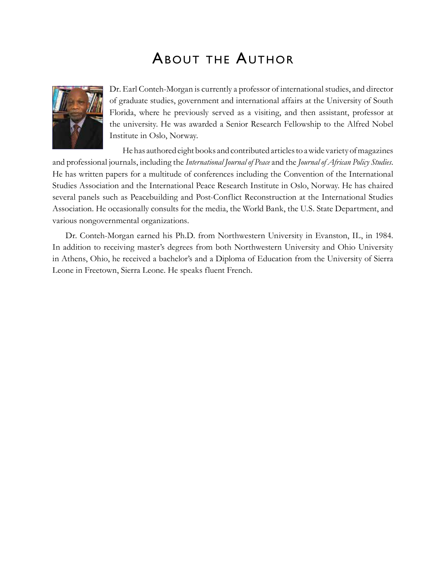### About the Author



Dr. Earl Conteh-Morgan is currently a professor of international studies, and director of graduate studies, government and international affairs at the University of South Florida, where he previously served as a visiting, and then assistant, professor at the university. He was awarded a Senior Research Fellowship to the Alfred Nobel Institute in Oslo, Norway.

He has authored eight books and contributed articles to a wide variety of magazines and professional journals, including the *International Journal of Peace* and the *Journal of African Policy Studies*. He has written papers for a multitude of conferences including the Convention of the International Studies Association and the International Peace Research Institute in Oslo, Norway. He has chaired several panels such as Peacebuilding and Post-Conflict Reconstruction at the International Studies Association. He occasionally consults for the media, the World Bank, the U.S. State Department, and various nongovernmental organizations.

Dr. Conteh-Morgan earned his Ph.D. from Northwestern University in Evanston, IL, in 1984. In addition to receiving master's degrees from both Northwestern University and Ohio University in Athens, Ohio, he received a bachelor's and a Diploma of Education from the University of Sierra Leone in Freetown, Sierra Leone. He speaks fluent French.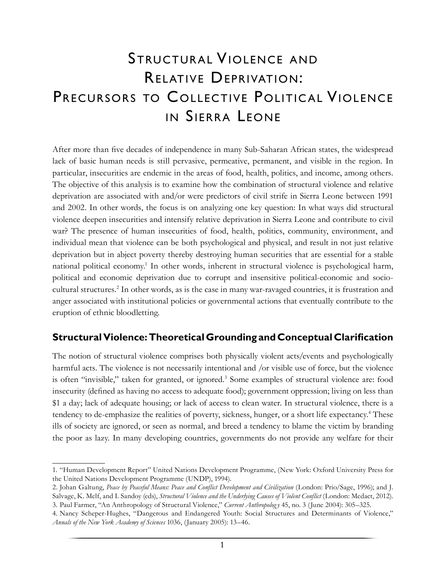## Structural Violence and Relative Deprivation: PRECURSORS TO COLLECTIVE POLITICAL VIOLENCE IN SIERRA LEONE

After more than five decades of independence in many Sub-Saharan African states, the widespread lack of basic human needs is still pervasive, permeative, permanent, and visible in the region. In particular, insecurities are endemic in the areas of food, health, politics, and income, among others. The objective of this analysis is to examine how the combination of structural violence and relative deprivation are associated with and/or were predictors of civil strife in Sierra Leone between 1991 and 2002. In other words, the focus is on analyzing one key question: In what ways did structural violence deepen insecurities and intensify relative deprivation in Sierra Leone and contribute to civil war? The presence of human insecurities of food, health, politics, community, environment, and individual mean that violence can be both psychological and physical, and result in not just relative deprivation but in abject poverty thereby destroying human securities that are essential for a stable national political economy.<sup>1</sup> In other words, inherent in structural violence is psychological harm, political and economic deprivation due to corrupt and insensitive political-economic and sociocultural structures.<sup>2</sup> In other words, as is the case in many war-ravaged countries, it is frustration and anger associated with institutional policies or governmental actions that eventually contribute to the eruption of ethnic bloodletting.

#### **Structural Violence: Theoretical Grounding and Conceptual Clarification**

The notion of structural violence comprises both physically violent acts/events and psychologically harmful acts. The violence is not necessarily intentional and /or visible use of force, but the violence is often "invisible," taken for granted, or ignored.<sup>3</sup> Some examples of structural violence are: food insecurity (defined as having no access to adequate food); government oppression; living on less than \$1 a day; lack of adequate housing; or lack of access to clean water. In structural violence, there is a tendency to de-emphasize the realities of poverty, sickness, hunger, or a short life expectancy.<sup>4</sup> These ills of society are ignored, or seen as normal, and breed a tendency to blame the victim by branding the poor as lazy. In many developing countries, governments do not provide any welfare for their

<sup>1.</sup> "Human Development Report" United Nations Development Programme, (New York: Oxford University Press for the United Nations Development Programme (UNDP), 1994).

<sup>2.</sup> Johan Galtung, *Peace by Peaceful Means: Peace and Conflict Development and Civilization* (London: Prio/Sage, 1996); and J. Salvage, K. Melf, and I. Sandoy (eds), *Structural Violence and the Underlying Causes of Violent Conflict* (London: Medact, 2012). 3. Paul Farmer, "An Anthropology of Structural Violence," *Current Anthropolog y* 45, no. 3 (June 2004): 305–325.

<sup>4.</sup> Nancy Scheper-Hughes, "Dangerous and Endangered Youth: Social Structures and Determinants of Violence," *Annals of the New York Academy of Sciences* 1036, (January 2005): 13–46.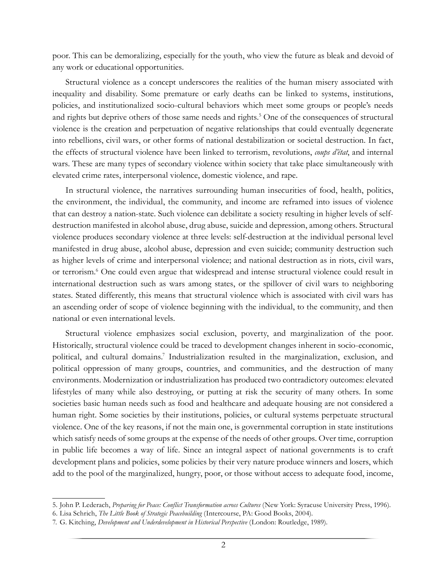poor. This can be demoralizing, especially for the youth, who view the future as bleak and devoid of any work or educational opportunities.

Structural violence as a concept underscores the realities of the human misery associated with inequality and disability. Some premature or early deaths can be linked to systems, institutions, policies, and institutionalized socio-cultural behaviors which meet some groups or people's needs and rights but deprive others of those same needs and rights.<sup>5</sup> One of the consequences of structural violence is the creation and perpetuation of negative relationships that could eventually degenerate into rebellions, civil wars, or other forms of national destabilization or societal destruction. In fact, the effects of structural violence have been linked to terrorism, revolutions, *coups d'état*, and internal wars. These are many types of secondary violence within society that take place simultaneously with elevated crime rates, interpersonal violence, domestic violence, and rape.

In structural violence, the narratives surrounding human insecurities of food, health, politics, the environment, the individual, the community, and income are reframed into issues of violence that can destroy a nation-state. Such violence can debilitate a society resulting in higher levels of selfdestruction manifested in alcohol abuse, drug abuse, suicide and depression, among others. Structural violence produces secondary violence at three levels: self-destruction at the individual personal level manifested in drug abuse, alcohol abuse, depression and even suicide; community destruction such as higher levels of crime and interpersonal violence; and national destruction as in riots, civil wars, or terrorism.<sup>6</sup> One could even argue that widespread and intense structural violence could result in international destruction such as wars among states, or the spillover of civil wars to neighboring states. Stated differently, this means that structural violence which is associated with civil wars has an ascending order of scope of violence beginning with the individual, to the community, and then national or even international levels.

Structural violence emphasizes social exclusion, poverty, and marginalization of the poor. Historically, structural violence could be traced to development changes inherent in socio-economic, political, and cultural domains.<sup>7</sup> Industrialization resulted in the marginalization, exclusion, and political oppression of many groups, countries, and communities, and the destruction of many environments. Modernization or industrialization has produced two contradictory outcomes: elevated lifestyles of many while also destroying, or putting at risk the security of many others. In some societies basic human needs such as food and healthcare and adequate housing are not considered a human right. Some societies by their institutions, policies, or cultural systems perpetuate structural violence. One of the key reasons, if not the main one, is governmental corruption in state institutions which satisfy needs of some groups at the expense of the needs of other groups. Over time, corruption in public life becomes a way of life. Since an integral aspect of national governments is to craft development plans and policies, some policies by their very nature produce winners and losers, which add to the pool of the marginalized, hungry, poor, or those without access to adequate food, income,

<sup>5.</sup> John P. Lederach, *Preparing for Peace: Conflict Transformation across Cultures* (New York: Syracuse University Press, 1996).

<sup>6.</sup> Lisa Schrich, *The Little Book of Strategic Peacebuilding* (Intercourse, PA: Good Books, 2004).

<sup>7.</sup> G. Kitching, *Development and Underdevelopment in Historical Perspective* (London: Routledge, 1989).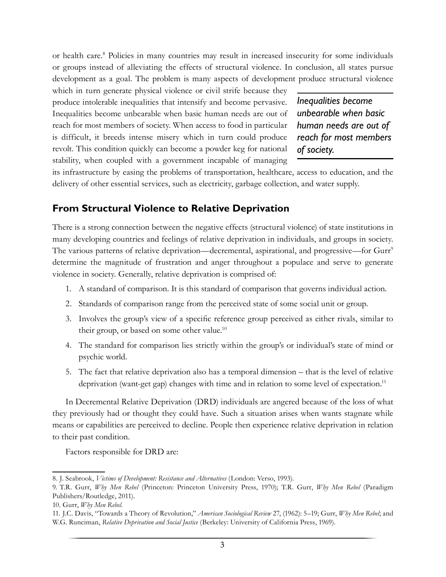or health care.<sup>8</sup> Policies in many countries may result in increased insecurity for some individuals or groups instead of alleviating the effects of structural violence. In conclusion, all states pursue development as a goal. The problem is many aspects of development produce structural violence

which in turn generate physical violence or civil strife because they produce intolerable inequalities that intensify and become pervasive. Inequalities become unbearable when basic human needs are out of reach for most members of society. When access to food in particular is difficult, it breeds intense misery which in turn could produce revolt. This condition quickly can become a powder keg for national stability, when coupled with a government incapable of managing

*Inequalities become unbearable when basic human needs are out of reach for most members of society.*

its infrastructure by easing the problems of transportation, healthcare, access to education, and the delivery of other essential services, such as electricity, garbage collection, and water supply.

#### **From Structural Violence to Relative Deprivation**

There is a strong connection between the negative effects (structural violence) of state institutions in many developing countries and feelings of relative deprivation in individuals, and groups in society. The various patterns of relative deprivation—decremental, aspirational, and progressive—for Gurr<sup>9</sup> determine the magnitude of frustration and anger throughout a populace and serve to generate violence in society. Generally, relative deprivation is comprised of:

- 1. A standard of comparison. It is this standard of comparison that governs individual action.
- 2. Standards of comparison range from the perceived state of some social unit or group.
- 3. Involves the group's view of a specific reference group perceived as either rivals, similar to their group, or based on some other value.<sup>10</sup>
- 4. The standard for comparison lies strictly within the group's or individual's state of mind or psychic world.
- 5. The fact that relative deprivation also has a temporal dimension that is the level of relative deprivation (want-get gap) changes with time and in relation to some level of expectation.<sup>11</sup>

In Decremental Relative Deprivation (DRD) individuals are angered because of the loss of what they previously had or thought they could have. Such a situation arises when wants stagnate while means or capabilities are perceived to decline. People then experience relative deprivation in relation to their past condition.

Factors responsible for DRD are:

<sup>8.</sup> J. Seabrook, *Victims of Development: Resistance and Alternatives* (London: Verso, 1993).

<sup>9.</sup> T.R. Gurr, *Why Men Rebel* (Princeton: Princeton University Press, 1970); T.R. Gurr, *Why Men Rebel* (Paradigm Publishers/Routledge, 2011).

<sup>10.</sup> Gurr, *Why Men Rebel*.

<sup>11.</sup> J.C. Davis, "Towards a Theory of Revolution," *American Sociological Review* 27, (1962): 5–19; Gurr, *Why Men Rebel*; and W.G. Runciman, *Relative Deprivation and Social Justice* (Berkeley: University of California Press, 1969).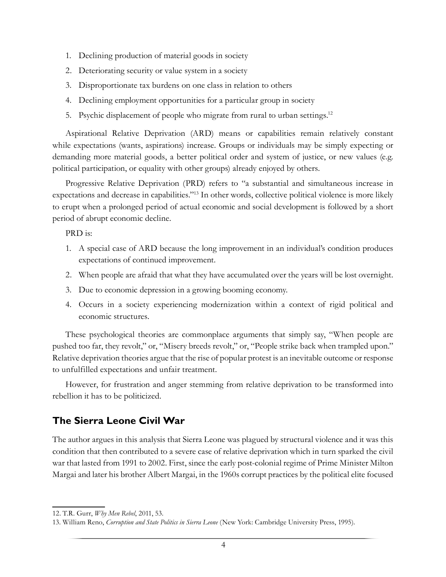- 1. Declining production of material goods in society
- 2. Deteriorating security or value system in a society
- 3. Disproportionate tax burdens on one class in relation to others
- 4. Declining employment opportunities for a particular group in society
- 5. Psychic displacement of people who migrate from rural to urban settings.<sup>12</sup>

Aspirational Relative Deprivation (ARD) means or capabilities remain relatively constant while expectations (wants, aspirations) increase. Groups or individuals may be simply expecting or demanding more material goods, a better political order and system of justice, or new values (e.g. political participation, or equality with other groups) already enjoyed by others.

Progressive Relative Deprivation (PRD) refers to "a substantial and simultaneous increase in expectations and decrease in capabilities."13 In other words, collective political violence is more likely to erupt when a prolonged period of actual economic and social development is followed by a short period of abrupt economic decline.

PRD is:

- 1. A special case of ARD because the long improvement in an individual's condition produces expectations of continued improvement.
- 2. When people are afraid that what they have accumulated over the years will be lost overnight.
- 3. Due to economic depression in a growing booming economy.
- 4. Occurs in a society experiencing modernization within a context of rigid political and economic structures.

These psychological theories are commonplace arguments that simply say, "When people are pushed too far, they revolt," or, "Misery breeds revolt," or, "People strike back when trampled upon." Relative deprivation theories argue that the rise of popular protest is an inevitable outcome or response to unfulfilled expectations and unfair treatment.

However, for frustration and anger stemming from relative deprivation to be transformed into rebellion it has to be politicized.

#### **The Sierra Leone Civil War**

The author argues in this analysis that Sierra Leone was plagued by structural violence and it was this condition that then contributed to a severe case of relative deprivation which in turn sparked the civil war that lasted from 1991 to 2002. First, since the early post-colonial regime of Prime Minister Milton Margai and later his brother Albert Margai, in the 1960s corrupt practices by the political elite focused

<sup>12.</sup> T.R. Gurr, *Why Men Rebel*, 2011, 53.

<sup>13.</sup> William Reno, *Corruption and State Politics in Sierra Leone* (New York: Cambridge University Press, 1995).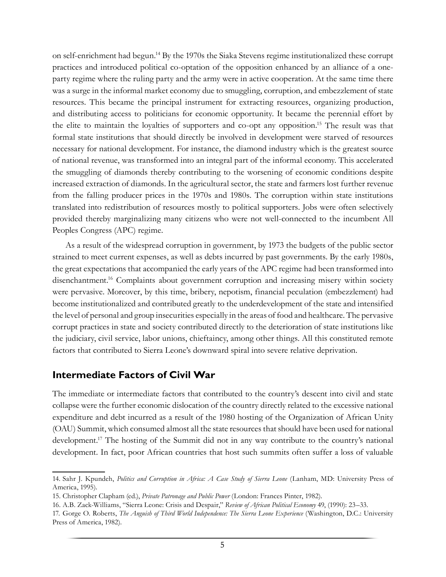on self-enrichment had begun.14 By the 1970s the Siaka Stevens regime institutionalized these corrupt practices and introduced political co-optation of the opposition enhanced by an alliance of a oneparty regime where the ruling party and the army were in active cooperation. At the same time there was a surge in the informal market economy due to smuggling, corruption, and embezzlement of state resources. This became the principal instrument for extracting resources, organizing production, and distributing access to politicians for economic opportunity. It became the perennial effort by the elite to maintain the loyalties of supporters and co-opt any opposition.15 The result was that formal state institutions that should directly be involved in development were starved of resources necessary for national development. For instance, the diamond industry which is the greatest source of national revenue, was transformed into an integral part of the informal economy. This accelerated the smuggling of diamonds thereby contributing to the worsening of economic conditions despite increased extraction of diamonds. In the agricultural sector, the state and farmers lost further revenue from the falling producer prices in the 1970s and 1980s. The corruption within state institutions translated into redistribution of resources mostly to political supporters. Jobs were often selectively provided thereby marginalizing many citizens who were not well-connected to the incumbent All Peoples Congress (APC) regime.

As a result of the widespread corruption in government, by 1973 the budgets of the public sector strained to meet current expenses, as well as debts incurred by past governments. By the early 1980s, the great expectations that accompanied the early years of the APC regime had been transformed into disenchantment.<sup>16</sup> Complaints about government corruption and increasing misery within society were pervasive. Moreover, by this time, bribery, nepotism, financial peculation (embezzlement) had become institutionalized and contributed greatly to the underdevelopment of the state and intensified the level of personal and group insecurities especially in the areas of food and healthcare. The pervasive corrupt practices in state and society contributed directly to the deterioration of state institutions like the judiciary, civil service, labor unions, chieftaincy, among other things. All this constituted remote factors that contributed to Sierra Leone's downward spiral into severe relative deprivation.

#### **Intermediate Factors of Civil War**

The immediate or intermediate factors that contributed to the country's descent into civil and state collapse were the further economic dislocation of the country directly related to the excessive national expenditure and debt incurred as a result of the 1980 hosting of the Organization of African Unity (OAU) Summit, which consumed almost all the state resources that should have been used for national development.<sup>17</sup> The hosting of the Summit did not in any way contribute to the country's national development. In fact, poor African countries that host such summits often suffer a loss of valuable

<sup>14.</sup> Sahr J. Kpundeh, *Politics and Corruption in Africa: A Case Study of Sierra Leone* (Lanham, MD: University Press of America, 1995).

<sup>15.</sup> Christopher Clapham (ed.), *Private Patronage and Public Power* (London: Frances Pinter, 1982).

<sup>16.</sup> A.B. Zack-Williams, "Sierra Leone: Crisis and Despair," *Review of African Political Economy* 49, (1990): 23–33.

<sup>17.</sup> Gorge O. Roberts, *The Anguish of Third World Independence: The Sierra Leone Experience* (Washington, D.C.: University Press of America, 1982).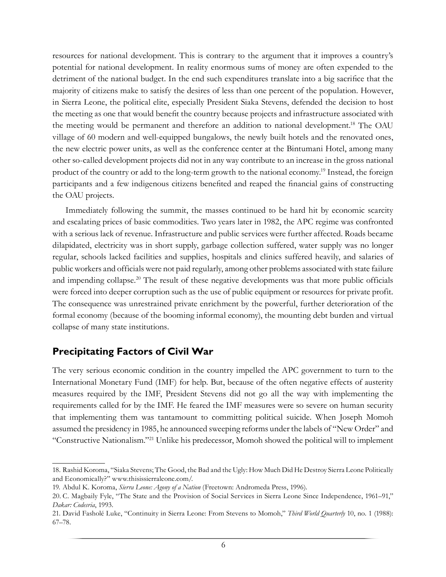resources for national development. This is contrary to the argument that it improves a country's potential for national development. In reality enormous sums of money are often expended to the detriment of the national budget. In the end such expenditures translate into a big sacrifice that the majority of citizens make to satisfy the desires of less than one percent of the population. However, in Sierra Leone, the political elite, especially President Siaka Stevens, defended the decision to host the meeting as one that would benefit the country because projects and infrastructure associated with the meeting would be permanent and therefore an addition to national development.18 The OAU village of 60 modern and well-equipped bungalows, the newly built hotels and the renovated ones, the new electric power units, as well as the conference center at the Bintumani Hotel, among many other so-called development projects did not in any way contribute to an increase in the gross national product of the country or add to the long-term growth to the national economy.19 Instead, the foreign participants and a few indigenous citizens benefited and reaped the financial gains of constructing the OAU projects.

Immediately following the summit, the masses continued to be hard hit by economic scarcity and escalating prices of basic commodities. Two years later in 1982, the APC regime was confronted with a serious lack of revenue. Infrastructure and public services were further affected. Roads became dilapidated, electricity was in short supply, garbage collection suffered, water supply was no longer regular, schools lacked facilities and supplies, hospitals and clinics suffered heavily, and salaries of public workers and officials were not paid regularly, among other problems associated with state failure and impending collapse.<sup>20</sup> The result of these negative developments was that more public officials were forced into deeper corruption such as the use of public equipment or resources for private profit. The consequence was unrestrained private enrichment by the powerful, further deterioration of the formal economy (because of the booming informal economy), the mounting debt burden and virtual collapse of many state institutions.

#### **Precipitating Factors of Civil War**

The very serious economic condition in the country impelled the APC government to turn to the International Monetary Fund (IMF) for help. But, because of the often negative effects of austerity measures required by the IMF, President Stevens did not go all the way with implementing the requirements called for by the IMF. He feared the IMF measures were so severe on human security that implementing them was tantamount to committing political suicide. When Joseph Momoh assumed the presidency in 1985, he announced sweeping reforms under the labels of "New Order" and "Constructive Nationalism."21 Unlike his predecessor, Momoh showed the political will to implement

<sup>18.</sup> Rashid Koroma, "Siaka Stevens; The Good, the Bad and the Ugly: How Much Did He Destroy Sierra Leone Politically and Economically?" www.thisissierraleone.com/.

<sup>19.</sup> Abdul K. Koroma, *Sierra Leone: Agony of a Nation* (Freetown: Andromeda Press, 1996).

<sup>20.</sup> C. Magbaily Fyle, "The State and the Provision of Social Services in Sierra Leone Since Independence, 1961–91," *Dakar: Codesria*, 1993.

<sup>21.</sup> David Fasholé Luke, "Continuity in Sierra Leone: From Stevens to Momoh," *Third World Quarterly* 10, no. 1 (1988): 67–78.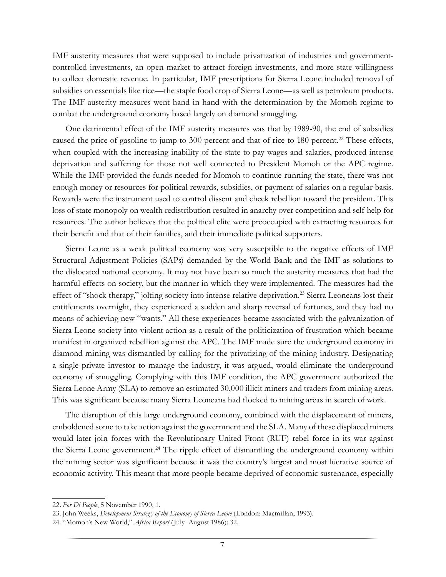IMF austerity measures that were supposed to include privatization of industries and governmentcontrolled investments, an open market to attract foreign investments, and more state willingness to collect domestic revenue. In particular, IMF prescriptions for Sierra Leone included removal of subsidies on essentials like rice—the staple food crop of Sierra Leone—as well as petroleum products. The IMF austerity measures went hand in hand with the determination by the Momoh regime to combat the underground economy based largely on diamond smuggling.

One detrimental effect of the IMF austerity measures was that by 1989-90, the end of subsidies caused the price of gasoline to jump to 300 percent and that of rice to 180 percent.<sup>22</sup> These effects, when coupled with the increasing inability of the state to pay wages and salaries, produced intense deprivation and suffering for those not well connected to President Momoh or the APC regime. While the IMF provided the funds needed for Momoh to continue running the state, there was not enough money or resources for political rewards, subsidies, or payment of salaries on a regular basis. Rewards were the instrument used to control dissent and check rebellion toward the president. This loss of state monopoly on wealth redistribution resulted in anarchy over competition and self-help for resources. The author believes that the political elite were preoccupied with extracting resources for their benefit and that of their families, and their immediate political supporters.

Sierra Leone as a weak political economy was very susceptible to the negative effects of IMF Structural Adjustment Policies (SAPs) demanded by the World Bank and the IMF as solutions to the dislocated national economy. It may not have been so much the austerity measures that had the harmful effects on society, but the manner in which they were implemented. The measures had the effect of "shock therapy," jolting society into intense relative deprivation.23 Sierra Leoneans lost their entitlements overnight, they experienced a sudden and sharp reversal of fortunes, and they had no means of achieving new "wants." All these experiences became associated with the galvanization of Sierra Leone society into violent action as a result of the politicization of frustration which became manifest in organized rebellion against the APC. The IMF made sure the underground economy in diamond mining was dismantled by calling for the privatizing of the mining industry. Designating a single private investor to manage the industry, it was argued, would eliminate the underground economy of smuggling. Complying with this IMF condition, the APC government authorized the Sierra Leone Army (SLA) to remove an estimated 30,000 illicit miners and traders from mining areas. This was significant because many Sierra Leoneans had flocked to mining areas in search of work.

The disruption of this large underground economy, combined with the displacement of miners, emboldened some to take action against the government and the SLA. Many of these displaced miners would later join forces with the Revolutionary United Front (RUF) rebel force in its war against the Sierra Leone government.<sup>24</sup> The ripple effect of dismantling the underground economy within the mining sector was significant because it was the country's largest and most lucrative source of economic activity. This meant that more people became deprived of economic sustenance, especially

<sup>22.</sup> *For Di People*, 5 November 1990, 1.

<sup>23.</sup> John Weeks, *Development Strateg y of the Economy of Sierra Leone* (London: Macmillan, 1993).

<sup>24.</sup> "Momoh's New World," *Africa Report* (July–August 1986): 32.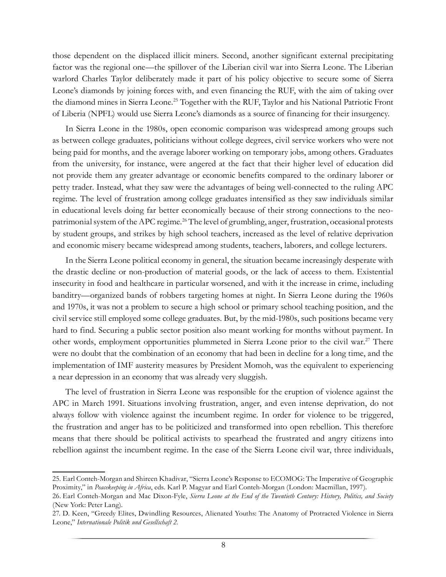those dependent on the displaced illicit miners. Second, another significant external precipitating factor was the regional one—the spillover of the Liberian civil war into Sierra Leone. The Liberian warlord Charles Taylor deliberately made it part of his policy objective to secure some of Sierra Leone's diamonds by joining forces with, and even financing the RUF, with the aim of taking over the diamond mines in Sierra Leone.<sup>25</sup> Together with the RUF, Taylor and his National Patriotic Front of Liberia (NPFL) would use Sierra Leone's diamonds as a source of financing for their insurgency.

In Sierra Leone in the 1980s, open economic comparison was widespread among groups such as between college graduates, politicians without college degrees, civil service workers who were not being paid for months, and the average laborer working on temporary jobs, among others. Graduates from the university, for instance, were angered at the fact that their higher level of education did not provide them any greater advantage or economic benefits compared to the ordinary laborer or petty trader. Instead, what they saw were the advantages of being well-connected to the ruling APC regime. The level of frustration among college graduates intensified as they saw individuals similar in educational levels doing far better economically because of their strong connections to the neopatrimonial system of the APC regime.<sup>26</sup> The level of grumbling, anger, frustration, occasional protests by student groups, and strikes by high school teachers, increased as the level of relative deprivation and economic misery became widespread among students, teachers, laborers, and college lecturers.

In the Sierra Leone political economy in general, the situation became increasingly desperate with the drastic decline or non-production of material goods, or the lack of access to them. Existential insecurity in food and healthcare in particular worsened, and with it the increase in crime, including banditry—organized bands of robbers targeting homes at night. In Sierra Leone during the 1960s and 1970s, it was not a problem to secure a high school or primary school teaching position, and the civil service still employed some college graduates. But, by the mid-1980s, such positions became very hard to find. Securing a public sector position also meant working for months without payment. In other words, employment opportunities plummeted in Sierra Leone prior to the civil war.<sup>27</sup> There were no doubt that the combination of an economy that had been in decline for a long time, and the implementation of IMF austerity measures by President Momoh, was the equivalent to experiencing a near depression in an economy that was already very sluggish.

The level of frustration in Sierra Leone was responsible for the eruption of violence against the APC in March 1991. Situations involving frustration, anger, and even intense deprivation, do not always follow with violence against the incumbent regime. In order for violence to be triggered, the frustration and anger has to be politicized and transformed into open rebellion. This therefore means that there should be political activists to spearhead the frustrated and angry citizens into rebellion against the incumbent regime. In the case of the Sierra Leone civil war, three individuals,

<sup>25.</sup> Earl Conteh-Morgan and Shireen Khadivar, "Sierra Leone's Response to ECOMOG: The Imperative of Geographic Proximity," in *Peacekeeping in Africa*, eds. Karl P. Magyar and Earl Conteh-Morgan (London: Macmillan, 1997).

<sup>26.</sup> Earl Conteh-Morgan and Mac Dixon-Fyle, *Sierra Leone at the End of the Twentieth Century: History, Politics, and Society* (New York: Peter Lang).

<sup>27.</sup> D. Keen, "Greedy Elites, Dwindling Resources, Alienated Youths: The Anatomy of Protracted Violence in Sierra Leone," *Internationale Politik und Gesellschaft 2*.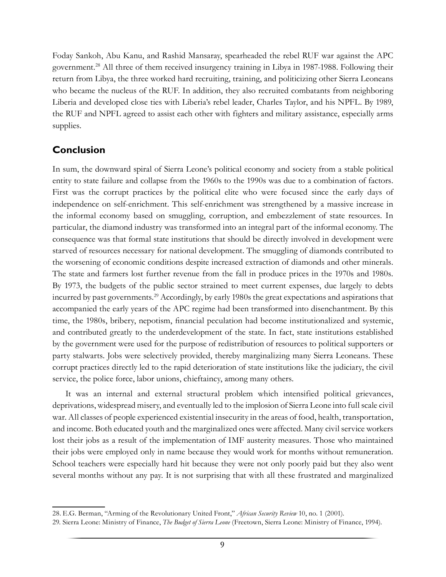Foday Sankoh, Abu Kanu, and Rashid Mansaray, spearheaded the rebel RUF war against the APC government.28 All three of them received insurgency training in Libya in 1987-1988. Following their return from Libya, the three worked hard recruiting, training, and politicizing other Sierra Leoneans who became the nucleus of the RUF. In addition, they also recruited combatants from neighboring Liberia and developed close ties with Liberia's rebel leader, Charles Taylor, and his NPFL. By 1989, the RUF and NPFL agreed to assist each other with fighters and military assistance, especially arms supplies.

#### **Conclusion**

In sum, the downward spiral of Sierra Leone's political economy and society from a stable political entity to state failure and collapse from the 1960s to the 1990s was due to a combination of factors. First was the corrupt practices by the political elite who were focused since the early days of independence on self-enrichment. This self-enrichment was strengthened by a massive increase in the informal economy based on smuggling, corruption, and embezzlement of state resources. In particular, the diamond industry was transformed into an integral part of the informal economy. The consequence was that formal state institutions that should be directly involved in development were starved of resources necessary for national development. The smuggling of diamonds contributed to the worsening of economic conditions despite increased extraction of diamonds and other minerals. The state and farmers lost further revenue from the fall in produce prices in the 1970s and 1980s. By 1973, the budgets of the public sector strained to meet current expenses, due largely to debts incurred by past governments.<sup>29</sup> Accordingly, by early 1980s the great expectations and aspirations that accompanied the early years of the APC regime had been transformed into disenchantment. By this time, the 1980s, bribery, nepotism, financial peculation had become institutionalized and systemic, and contributed greatly to the underdevelopment of the state. In fact, state institutions established by the government were used for the purpose of redistribution of resources to political supporters or party stalwarts. Jobs were selectively provided, thereby marginalizing many Sierra Leoneans. These corrupt practices directly led to the rapid deterioration of state institutions like the judiciary, the civil service, the police force, labor unions, chieftaincy, among many others.

It was an internal and external structural problem which intensified political grievances, deprivations, widespread misery, and eventually led to the implosion of Sierra Leone into full scale civil war. All classes of people experienced existential insecurity in the areas of food, health, transportation, and income. Both educated youth and the marginalized ones were affected. Many civil service workers lost their jobs as a result of the implementation of IMF austerity measures. Those who maintained their jobs were employed only in name because they would work for months without remuneration. School teachers were especially hard hit because they were not only poorly paid but they also went several months without any pay. It is not surprising that with all these frustrated and marginalized

<sup>28.</sup> E.G. Berman, "Arming of the Revolutionary United Front," *African Security Review* 10, no. 1 (2001).

<sup>29.</sup> Sierra Leone: Ministry of Finance, *The Budget of Sierra Leone* (Freetown, Sierra Leone: Ministry of Finance, 1994).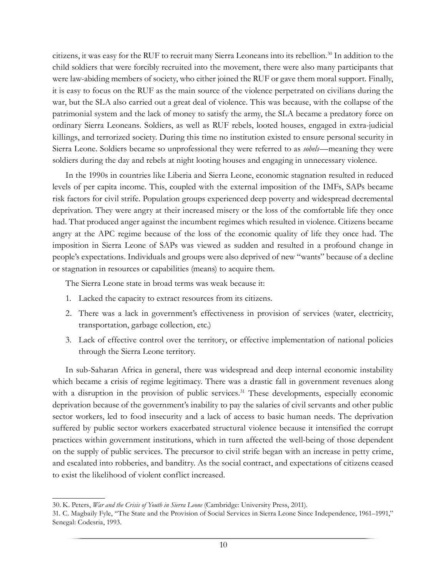citizens, it was easy for the RUF to recruit many Sierra Leoneans into its rebellion.30 In addition to the child soldiers that were forcibly recruited into the movement, there were also many participants that were law-abiding members of society, who either joined the RUF or gave them moral support. Finally, it is easy to focus on the RUF as the main source of the violence perpetrated on civilians during the war, but the SLA also carried out a great deal of violence. This was because, with the collapse of the patrimonial system and the lack of money to satisfy the army, the SLA became a predatory force on ordinary Sierra Leoneans. Soldiers, as well as RUF rebels, looted houses, engaged in extra-judicial killings, and terrorized society. During this time no institution existed to ensure personal security in Sierra Leone. Soldiers became so unprofessional they were referred to as *sobels*—meaning they were soldiers during the day and rebels at night looting houses and engaging in unnecessary violence.

In the 1990s in countries like Liberia and Sierra Leone, economic stagnation resulted in reduced levels of per capita income. This, coupled with the external imposition of the IMFs, SAPs became risk factors for civil strife. Population groups experienced deep poverty and widespread decremental deprivation. They were angry at their increased misery or the loss of the comfortable life they once had. That produced anger against the incumbent regimes which resulted in violence. Citizens became angry at the APC regime because of the loss of the economic quality of life they once had. The imposition in Sierra Leone of SAPs was viewed as sudden and resulted in a profound change in people's expectations. Individuals and groups were also deprived of new "wants" because of a decline or stagnation in resources or capabilities (means) to acquire them.

The Sierra Leone state in broad terms was weak because it:

- 1. Lacked the capacity to extract resources from its citizens.
- 2. There was a lack in government's effectiveness in provision of services (water, electricity, transportation, garbage collection, etc.)
- 3. Lack of effective control over the territory, or effective implementation of national policies through the Sierra Leone territory.

In sub-Saharan Africa in general, there was widespread and deep internal economic instability which became a crisis of regime legitimacy. There was a drastic fall in government revenues along with a disruption in the provision of public services.<sup>31</sup> These developments, especially economic deprivation because of the government's inability to pay the salaries of civil servants and other public sector workers, led to food insecurity and a lack of access to basic human needs. The deprivation suffered by public sector workers exacerbated structural violence because it intensified the corrupt practices within government institutions, which in turn affected the well-being of those dependent on the supply of public services. The precursor to civil strife began with an increase in petty crime, and escalated into robberies, and banditry. As the social contract, and expectations of citizens ceased to exist the likelihood of violent conflict increased.

<sup>30.</sup> K. Peters, *War and the Crisis of Youth in Sierra Leone* (Cambridge: University Press, 2011).

<sup>31.</sup> C. Magbaily Fyle, "The State and the Provision of Social Services in Sierra Leone Since Independence, 1961–1991," Senegal: Codesria, 1993.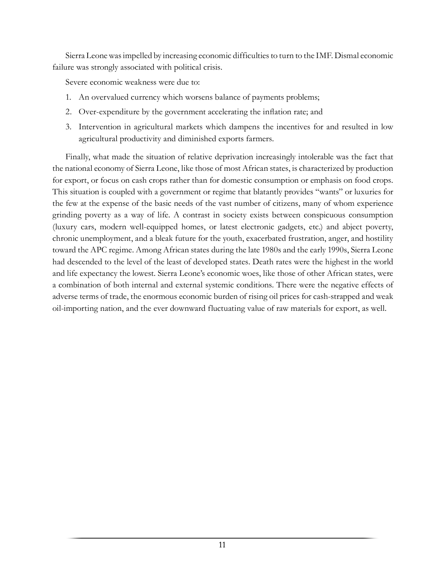Sierra Leone was impelled by increasing economic difficulties to turn to the IMF. Dismal economic failure was strongly associated with political crisis.

Severe economic weakness were due to:

- 1. An overvalued currency which worsens balance of payments problems;
- 2. Over-expenditure by the government accelerating the inflation rate; and
- 3. Intervention in agricultural markets which dampens the incentives for and resulted in low agricultural productivity and diminished exports farmers.

Finally, what made the situation of relative deprivation increasingly intolerable was the fact that the national economy of Sierra Leone, like those of most African states, is characterized by production for export, or focus on cash crops rather than for domestic consumption or emphasis on food crops. This situation is coupled with a government or regime that blatantly provides "wants" or luxuries for the few at the expense of the basic needs of the vast number of citizens, many of whom experience grinding poverty as a way of life. A contrast in society exists between conspicuous consumption (luxury cars, modern well-equipped homes, or latest electronic gadgets, etc.) and abject poverty, chronic unemployment, and a bleak future for the youth, exacerbated frustration, anger, and hostility toward the APC regime. Among African states during the late 1980s and the early 1990s, Sierra Leone had descended to the level of the least of developed states. Death rates were the highest in the world and life expectancy the lowest. Sierra Leone's economic woes, like those of other African states, were a combination of both internal and external systemic conditions. There were the negative effects of adverse terms of trade, the enormous economic burden of rising oil prices for cash-strapped and weak oil-importing nation, and the ever downward fluctuating value of raw materials for export, as well.